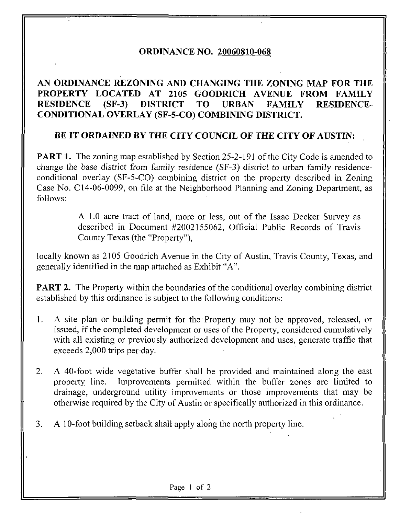## ORDINANCE NO. 20060810-068

## AN ORDINANCE REZONING AND CHANGING THE ZONING MAP FOR THE PROPERTY LOCATED AT 2105 GOODRICH AVENUE FROM FAMILY RESIDENCE (SF-3) DISTRICT TO URBAN FAMILY RESIDENCE-CONDITIONAL OVERLAY (SF-5-CO) COMBINING DISTRICT.

## BE IT ORDAINED BY THE CITY COUNCIL OF THE CITY OF AUSTIN:

PART 1. The zoning map established by Section 25-2-191 of the City Code is amended to change the base district from family residence (SF-3) district to urban family residenceconditional overlay (SF-5-CO) combining district on the property described in Zoning Case No. C14-06-0099, on file at the Neighborhood Planning and Zoning Department, as follows:

> A 1.0 acre tract of land, more or less, out of the Isaac Decker Survey as described in Document #2002155062, Official Public Records of Travis County Texas (the "Property"),

locally known as 2105 Goodrich Avenue in the City of Austin, Travis County, Texas, and generally identified in the map attached as Exhibit "A".

**PART 2.** The Property within the boundaries of the conditional overlay combining district established by this ordinance is subject to the following conditions:

- 1. A site plan or building permit for the Property may not be approved, released, or issued, if the completed development or uses of the Property, considered cumulatively with all existing or previously authorized development and uses, generate traffic that exceeds 2,000 trips per day.
- 2. A 40-foot wide vegetative buffer shall be provided and maintained along the east property line. Improvements permitted within the buffer zones are limited to drainage, underground utility improvements or those improvements that may be otherwise required by the City of Austin or specifically authorized in this ordinance.
- 3. A 10-foot building setback shall apply along the north property line.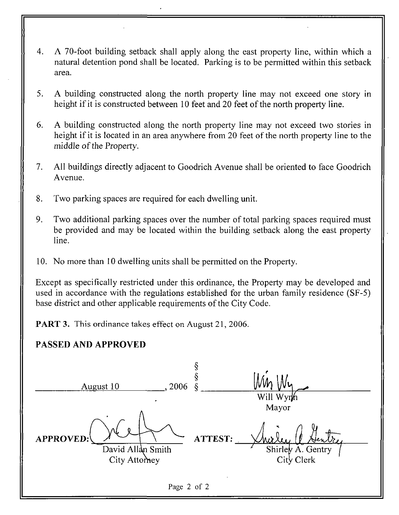- 4. A 70-foot building setback shall apply along the east property line, within which a natural detention pond shall be located. Parking is to be permitted within this setback area.
- 5. A building constructed along the north property line may not exceed one story in height if it is constructed between 10 feet and 20 feet of the north property line.
- 6. A building constructed along the north property line may not exceed two stories in height if it is located in an area anywhere from 20 feet of the north property line to the middle of the Property.
- 7. All buildings directly adjacent to Goodrich Avenue shall be oriented to face Goodrich Avenue.
- 8. Two parking spaces are required for each dwelling unit.
- 9. Two additional parking spaces over the number of total parking spaces required must be provided and may be located within the building setback along the east property line.
- 10. No more than 10 dwelling units shall be permitted on the Property.

Except as specifically restricted under this ordinance, the Property may be developed and used in accordance with the regulations established for the urban family residence (SF-5) base district and other applicable requirements of the City Code.

PART 3. This ordinance takes effect on August 21, 2006.

## PASSED AND APPROVED

| 2006<br>August 10                                      |         | Will Wyrh                                |
|--------------------------------------------------------|---------|------------------------------------------|
| <b>APPROVED:</b><br>David Allan Smith<br>City Attorney | ATTEST: | Mayor<br>Shirley A. Gentry<br>City Clerk |
| Page 2 of 2                                            |         |                                          |